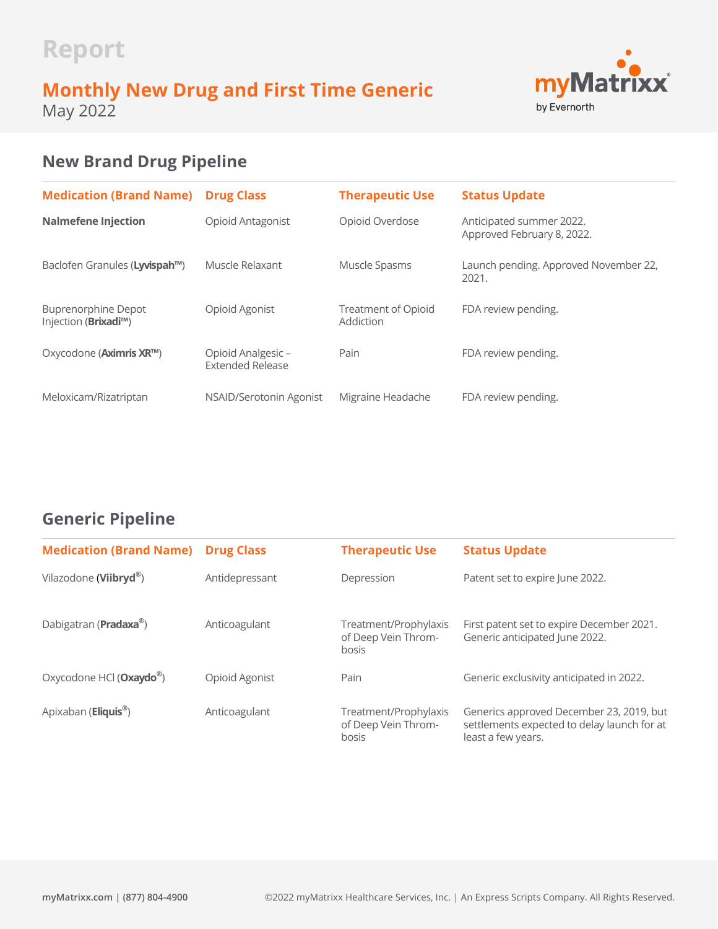## **Report**

## **Monthly New Drug and First Time Generic** May 2022



### **New Brand Drug Pipeline**

| <b>Medication (Brand Name)</b>                              | <b>Drug Class</b>                             | <b>Therapeutic Use</b>                  | <b>Status Update</b>                                   |
|-------------------------------------------------------------|-----------------------------------------------|-----------------------------------------|--------------------------------------------------------|
| <b>Nalmefene Injection</b>                                  | Opioid Antagonist                             | Opioid Overdose                         | Anticipated summer 2022.<br>Approved February 8, 2022. |
| Baclofen Granules ( <b>Lyvispah™</b> )                      | Muscle Relaxant                               | Muscle Spasms                           | Launch pending. Approved November 22,<br>2021.         |
| <b>Buprenorphine Depot</b><br>Injection ( <b>Brixadi™</b> ) | Opioid Agonist                                | <b>Treatment of Opioid</b><br>Addiction | FDA review pending.                                    |
| Oxycodone (Aximris XR™)                                     | Opioid Analgesic -<br><b>Extended Release</b> | Pain                                    | FDA review pending.                                    |
| Meloxicam/Rizatriptan                                       | NSAID/Serotonin Agonist                       | Migraine Headache                       | FDA review pending.                                    |

## **Generic Pipeline**

| <b>Medication (Brand Name)</b>           | <b>Drug Class</b> | <b>Therapeutic Use</b>                                | <b>Status Update</b>                                                                                          |
|------------------------------------------|-------------------|-------------------------------------------------------|---------------------------------------------------------------------------------------------------------------|
| Vilazodone (Viibryd®)                    | Antidepressant    | Depression                                            | Patent set to expire June 2022.                                                                               |
| Dabigatran ( <b>Pradaxa</b> ®)           | Anticoagulant     | Treatment/Prophylaxis<br>of Deep Vein Throm-<br>bosis | First patent set to expire December 2021.<br>Generic anticipated June 2022.                                   |
| Oxycodone HCl (Oxaydo <sup>®</sup> )     | Opioid Agonist    | Pain                                                  | Generic exclusivity anticipated in 2022.                                                                      |
| Apixaban ( <b>Eliquis</b> <sup>®</sup> ) | Anticoagulant     | Treatment/Prophylaxis<br>of Deep Vein Throm-<br>bosis | Generics approved December 23, 2019, but<br>settlements expected to delay launch for at<br>least a few years. |